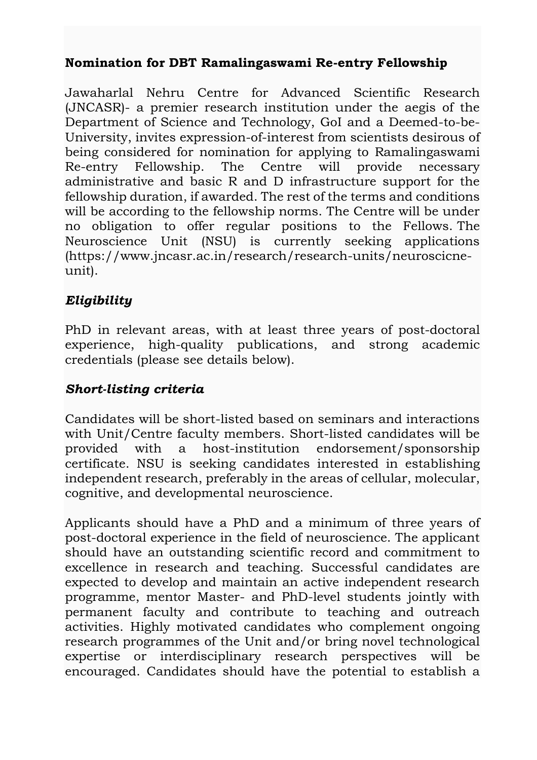# **Nomination for DBT Ramalingaswami Re-entry Fellowship**

Jawaharlal Nehru Centre for Advanced Scientific Research (JNCASR)- a premier research institution under the aegis of the Department of Science and Technology, GoI and a Deemed-to-be-University, invites expression-of-interest from scientists desirous of being considered for nomination for applying to Ramalingaswami Re-entry Fellowship. The Centre will provide necessary administrative and basic R and D infrastructure support for the fellowship duration, if awarded. The rest of the terms and conditions will be according to the fellowship norms. The Centre will be under no obligation to offer regular positions to the Fellows. The Neuroscience Unit (NSU) is currently seeking applications [\(https://www.jncasr.ac.in/research/research-units/neuroscicne](https://www.jncasr.ac.in/research/research-units/neuroscicne-unit)[unit\)](https://www.jncasr.ac.in/research/research-units/neuroscicne-unit).

### *Eligibility*

PhD in relevant areas, with at least three years of post-doctoral experience, high-quality publications, and strong academic credentials (please see details below).

#### *Short-listing criteria*

Candidates will be short-listed based on seminars and interactions with Unit/Centre faculty members. Short-listed candidates will be provided with a host-institution endorsement/sponsorship certificate. NSU is seeking candidates interested in establishing independent research, preferably in the areas of cellular, molecular, cognitive, and developmental neuroscience.

Applicants should have a PhD and a minimum of three years of post-doctoral experience in the field of neuroscience. The applicant should have an outstanding scientific record and commitment to excellence in research and teaching. Successful candidates are expected to develop and maintain an active independent research programme, mentor Master- and PhD-level students jointly with permanent faculty and contribute to teaching and outreach activities. Highly motivated candidates who complement ongoing research programmes of the Unit and/or bring novel technological expertise or interdisciplinary research perspectives will be encouraged. Candidates should have the potential to establish a